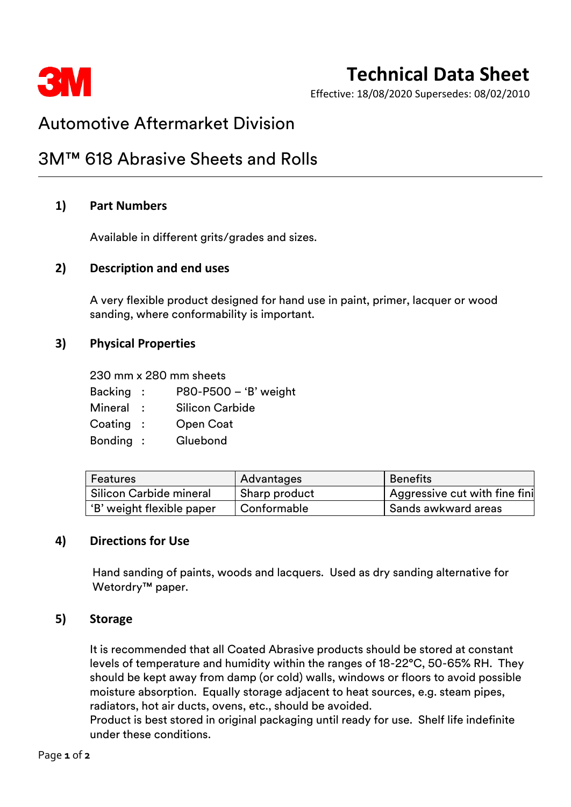

# **Technical Data Sheet**

Effective: 18/08/2020 Supersedes: 08/02/2010

# Automotive Aftermarket Division

# 3M™ 618 Abrasive Sheets and Rolls

### **1) Part Numbers**

Available in different grits/grades and sizes.

#### **2) Description and end uses**

A very flexible product designed for hand use in paint, primer, lacquer or wood sanding, where conformability is important.

### **3) Physical Properties**

230 mm x 280 mm sheets

- Backing : P80-P500 'B' weight
- Mineral : Silicon Carbide
- Coating : Open Coat
- Bonding : Gluebond

| Features                  | Advantages    | Benefits                                   |
|---------------------------|---------------|--------------------------------------------|
| Silicon Carbide mineral   | Sharp product | <sup>1</sup> Aggressive cut with fine fini |
| 'B' weight flexible paper | Conformable   | Sands awkward areas                        |

### **4) Directions for Use**

Hand sanding of paints, woods and lacquers. Used as dry sanding alternative for Wetordry<sup>™</sup> paper.

#### **5) Storage**

It is recommended that all Coated Abrasive products should be stored at constant levels of temperature and humidity within the ranges of 18-22°C, 50-65% RH. They should be kept away from damp (or cold) walls, windows or floors to avoid possible moisture absorption. Equally storage adjacent to heat sources, e.g. steam pipes, radiators, hot air ducts, ovens, etc., should be avoided.

Product is best stored in original packaging until ready for use. Shelf life indefinite under these conditions.